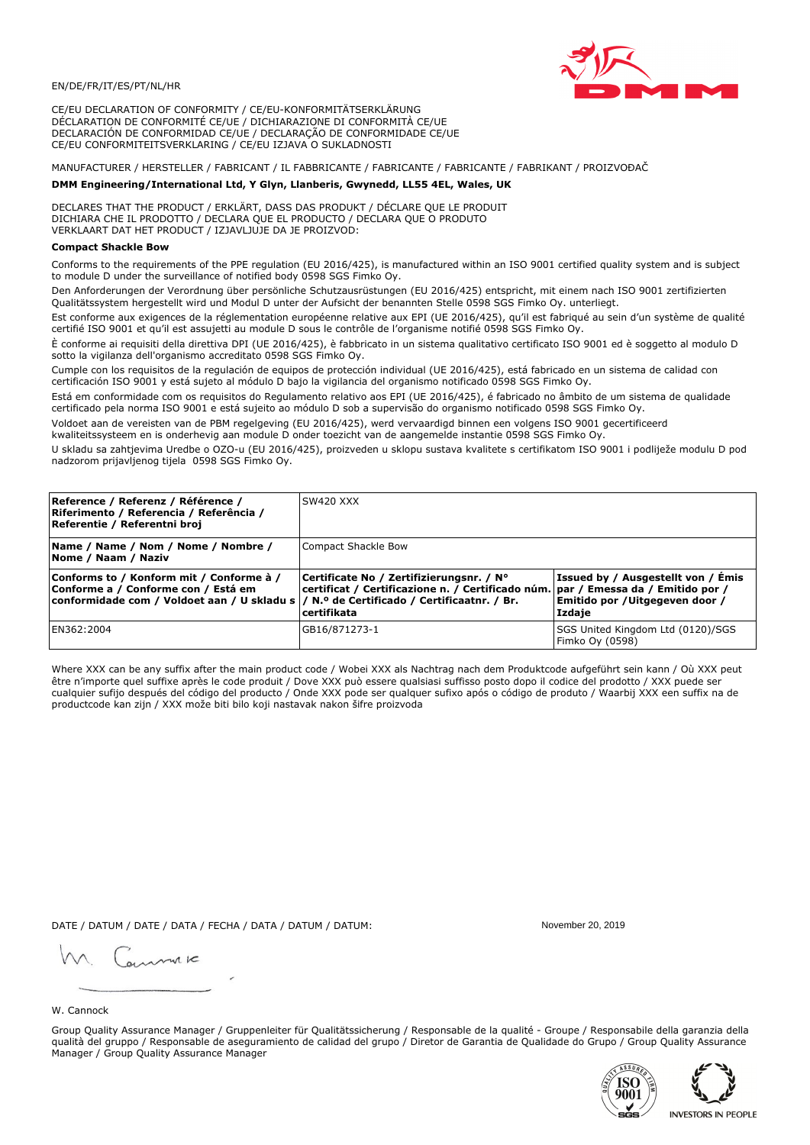

CE/EU DECLARATION OF CONFORMITY / CE/EU-KONFORMITÄTSERKLÄRUNG DÉCLARATION DE CONFORMITÉ CE/UE / DICHIARAZIONE DI CONFORMITÀ CE/UE DECLARACIÓN DE CONFORMIDAD CE/UE / DECLARAÇÃO DE CONFORMIDADE CE/UE CE/EU CONFORMITEITSVERKLARING / CE/EU IZJAVA O SUKLADNOSTI

# MANUFACTURER / HERSTELLER / FABRICANT / IL FABBRICANTE / FABRICANTE / FABRICANTE / FABRIKANT / PROIZVOĐAČ

## DMM Engineering/International Ltd, Y Glyn, Llanberis, Gwynedd, LL55 4EL, Wales, UK

DECLARES THAT THE PRODUCT / ERKLÄRT, DASS DAS PRODUKT / DÉCLARE QUE LE PRODUIT<br>DICHIARA CHE IL PRODOTTO / DECLARA QUE EL PRODUCTO / DECLARA QUE O PRODUTO VERKLAART DAT HET PRODUCT / IZJAVLJUJE DA JE PROIZVOD:

## **Compact Shackle Bow**

Conforms to the requirements of the PPE regulation (EU 2016/425), is manufactured within an ISO 9001 certified quality system and is subject to module D under the surveillance of notified body 0598 SGS Fimko Oy.

Den Anforderungen der Verordnung über persönliche Schutzausrüstungen (EU 2016/425) entspricht, mit einem nach ISO 9001 zertifizierten Qualitätssystem hergestellt wird und Modul D unter der Aufsicht der benannten Stelle 0598 SGS Fimko Oy. unterliegt.

Est conforme aux exigences de la réglementation européenne relative aux EPI (UE 2016/425), qu'il est fabriqué au sein d'un système de qualité certifié ISO 9001 et qu'il est assujetti au module D sous le contrôle de l'organisme notifié 0598 SGS Fimko Oy.

È conforme ai requisiti della direttiva DPI (UE 2016/425), è fabbricato in un sistema qualitativo certificato ISO 9001 ed è soggetto al modulo D sotto la vigilanza dell'organismo accreditato 0598 SGS Fimko Oy.

Cumple con los requisitos de la regulación de equipos de protección individual (UE 2016/425), está fabricado en un sistema de calidad con certificación ISO 9001 y está sujeto al módulo D bajo la vigilancia del organismo notificado 0598 SGS Fimko Oy.

Está em conformidade com os requisitos do Regulamento relativo aos EPI (UE 2016/425), é fabricado no âmbito de um sistema de qualidade certificado pela norma ISO 9001 e está sujeito ao módulo D sob a supervisão do organismo notificado 0598 SGS Fimko Oy.

Voldoet aan de vereisten van de PBM regelgeving (EU 2016/425), werd vervaardigd binnen een volgens ISO 9001 gecertificeerd kwaliteitssysteem en is onderhevig aan module D onder toezicht van de aangemelde instantie 0598 SGS Fimko Oy.

U skladu sa zahtjevima Uredbe o OZO-u (EU 2016/425), proizveden u sklopu sustava kvalitete s certifikatom ISO 9001 i podliježe modulu D pod nadzorom prijavljenog tijela 0598 SGS Fimko Oy.

| Reference / Referenz / Référence /<br>Riferimento / Referencia / Referência /<br>Referentie / Referentni broj                                                              | SW420 XXX                                                                                                                                          |                                                                                 |
|----------------------------------------------------------------------------------------------------------------------------------------------------------------------------|----------------------------------------------------------------------------------------------------------------------------------------------------|---------------------------------------------------------------------------------|
| Name / Name / Nom / Nome / Nombre /<br>Nome / Naam / Naziv                                                                                                                 | Compact Shackle Bow                                                                                                                                |                                                                                 |
| Conforms to / Konform mit / Conforme à /<br>Conforme a / Conforme con / Está em<br>conformidade com / Voldoet aan / U skladu s / N.º de Certificado / Certificaatnr. / Br. | Certificate No / Zertifizierungsnr. / N°<br>  certificat / Certificazione n. / Certificado núm.   par / Emessa da / Emitido por /<br>l certifikata | Issued by / Ausgestellt von / Emis<br>Emitido por / Uitgegeven door /<br>Izdaje |
| EN362:2004                                                                                                                                                                 | GB16/871273-1                                                                                                                                      | SGS United Kingdom Ltd (0120)/SGS<br>Fimko Oy (0598)                            |

Where XXX can be any suffix after the main product code / Wobei XXX als Nachtrag nach dem Produktcode aufgeführt sein kann / Où XXX peut être n'importe quel suffixe après le code produit / Dove XXX può essere qualsiasi suffisso posto dopo il codice del prodotto / XXX puede ser cualquier sufijo después del código del producto / Onde XXX pode ser qualquer sufixo após o código de produto / Waarbij XXX een suffix na de productcode kan zijn / XXX može biti bilo koji nastavak nakon šifre proizvoda

DATE / DATUM / DATE / DATA / FECHA / DATA / DATUM / DATUM:

gimmic

November 20, 2019



Group Quality Assurance Manager / Gruppenleiter für Qualitätssicherung / Responsable de la qualité - Groupe / Responsabile della garanzia della qualità del gruppo / Responsable de aseguramiento de calidad del grupo / Diretor de Garantia de Qualidade do Grupo / Group Quality Assurance Manager / Group Quality Assurance Manager



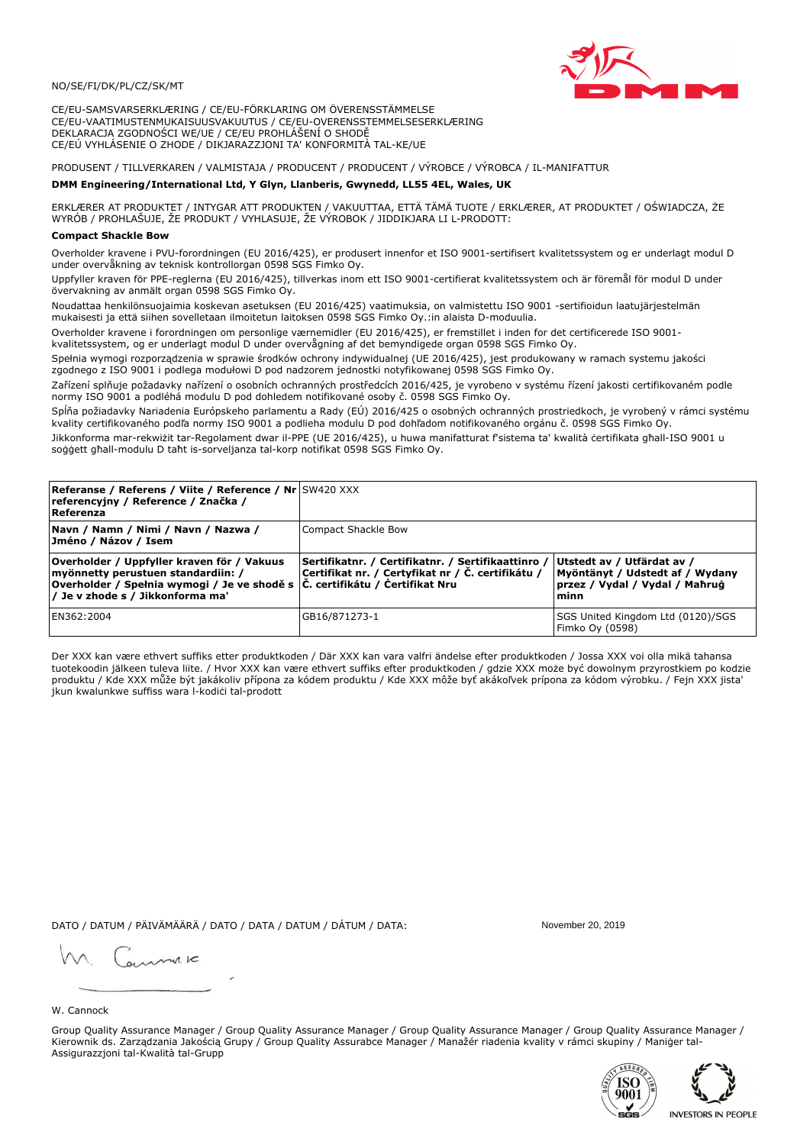

CE/EU-SAMSVARSERKLÆRING / CE/EU-FÖRKLARING OM ÖVERENSSTÄMMELSE CE/EU-VAATIMUSTENMUKAISUUSVAKUUTUS / CE/EU-OVERENSSTEMMELSESERKLÆRING DEKLARACJA ZGODNOŚCI WE/UE / CE/EU PROHLÁŠENÍ O SHODĚ CE/EÚ VYHLÁSENIE O ZHODE / DIKJARAZZJONI TA' KONFORMITÀ TAL-KE/UE

# PRODUSENT / TILLVERKAREN / VALMISTAJA / PRODUCENT / PRODUCENT / VÝROBCE / VÝROBCA / IL-MANIFATTUR

#### DMM Engineering/International Ltd, Y Glyn, Llanberis, Gwynedd, LL55 4EL, Wales, UK

ERKLÆRER AT PRODUKTET / INTYGAR ATT PRODUKTEN / VAKUUTTAA, ETTÄ TÄMÄ TUOTE / ERKLÆRER, AT PRODUKTET / OŚWIADCZA, ŻE<br>WYRÓB / PROHLAŠUJE, ŽE PRODUKT / VYHLASUJE, ŽE VÝROBOK / JIDDIKJARA LI L-PRODOTT:

### **Compact Shackle Bow**

Overholder kravene i PVU-forordningen (EU 2016/425), er produsert innenfor et ISO 9001-sertifisert kvalitetssystem og er underlagt modul D under overvåkning av teknisk kontrollorgan 0598 SGS Fimko Oy.

Uppfyller kraven för PPE-reglerna (EU 2016/425), tillverkas inom ett ISO 9001-certifierat kvalitetssystem och är föremål för modul D under övervakning av anmält organ 0598 SGS Fimko Oy.

Noudattaa henkilönsuojaimia koskevan asetuksen (EU 2016/425) vaatimuksia, on valmistettu ISO 9001 -sertifioidun laatujärjestelmän mukaisesti ja että siihen sovelletaan ilmoitetun laitoksen 0598 SGS Fimko Oy.:in alaista D-moduulia.

Overholder kravene i forordningen om personlige værnemidler (EU 2016/425), er fremstillet i inden for det certificerede ISO 9001kvalitetssystem, og er underlagt modul D under overvågning af det bemyndigede organ 0598 SGS Fimko Oy.

Spełnia wymogi rozporządzenia w sprawie środków ochrony indywidualnej (UE 2016/425), jest produkowany w ramach systemu jakości zgodnego z ISO 9001 i podlega modułowi D pod nadzorem jednostki notyfikowanej 0598 SGS Fimko Oy.

Zařízení splňuje požadavky nařízení o osobních ochranných prostředcích 2016/425, je vyrobeno v systému řízení jakosti certifikovaném podle normy ISO 9001 a podléhá modulu D pod dohledem notifikované osoby č. 0598 SGS Fimko Oy.

Spĺňa požiadavky Nariadenia Európskeho parlamentu a Rady (EÚ) 2016/425 o osobných ochranných prostriedkoch, je vyrobený v rámci systému kvality certifikovaného podľa normy ISO 9001 a podlieha modulu D pod dohľadom notifikovaného orgánu č. 0598 SGS Fimko Oy.

Jikkonforma mar-rekwiżit tar-Regolament dwar il-PPE (UE 2016/425), u huwa manifatturat f'sistema ta' kwalità certifikata għall-ISO 9001 u soggett għall-modulu D taħt is-sorveljanza tal-korp notifikat 0598 SGS Fimko Oy.

| <b>Referanse / Referens / Viite / Reference / Nr</b> SW420 XXX<br>referencyjny / Reference / Značka /<br>Referenza                                                                                                        |                                                                                                         |                                                                                                         |
|---------------------------------------------------------------------------------------------------------------------------------------------------------------------------------------------------------------------------|---------------------------------------------------------------------------------------------------------|---------------------------------------------------------------------------------------------------------|
| Navn / Namn / Nimi / Navn / Nazwa /<br>Jméno / Názov / Isem                                                                                                                                                               | Compact Shackle Bow                                                                                     |                                                                                                         |
| Overholder / Uppfyller kraven för / Vakuus<br>myönnetty perustuen standardiin: /<br> Overholder / Spełnia wymogi / Je ve shodě s $ \check{\mathsf{C}}$ . certifikátu / Čertifikat Nru<br>/ Je v zhode s / Jikkonforma ma' | Sertifikatnr. / Certifikatnr. / Sertifikaattinro /<br>Certifikat nr. / Certyfikat nr / Č. certifikátu / | Utstedt av / Utfärdat av /<br>Myöntänyt / Udstedt af / Wydany<br>przez / Vydal / Vydal / Mahrug<br>minn |
| EN362:2004                                                                                                                                                                                                                | GB16/871273-1                                                                                           | SGS United Kingdom Ltd (0120)/SGS<br>Fimko Oy (0598)                                                    |

Der XXX kan være ethvert suffiks etter produktkoden / Där XXX kan vara valfri ändelse efter produktkoden / Jossa XXX voi olla mikä tahansa tuotekoodin jälkeen tuleva liite. / Hvor XXX kan være ethvert suffiks efter produktkoden / gdzie XXX może być dowolnym przyrostkiem po kodzie produktu / Kde XXX může být jakákoliv přípona za kódem produktu / Kde XXX môže byť akákolyek prípona za kódom výrobku. / Fejn XXX jista ikun kwalunkwe suffiss wara l-kodići tal-prodott

DATO / DATUM / PÄIVÄMÄÄRÄ / DATO / DATA / DATUM / DÁTUM / DATA:

November 20, 2019

annuic

W. Cannock

Group Quality Assurance Manager / Group Quality Assurance Manager / Group Quality Assurance Manager / Group Quality Assurance Manager / Kierownik ds. Zarządzania Jakością Grupy / Group Quality Assurabce Manager / Manažér riadenia kvality v rámci skupiny / Maniger tal-Assigurazzjoni tal-Kwalità tal-Grupp